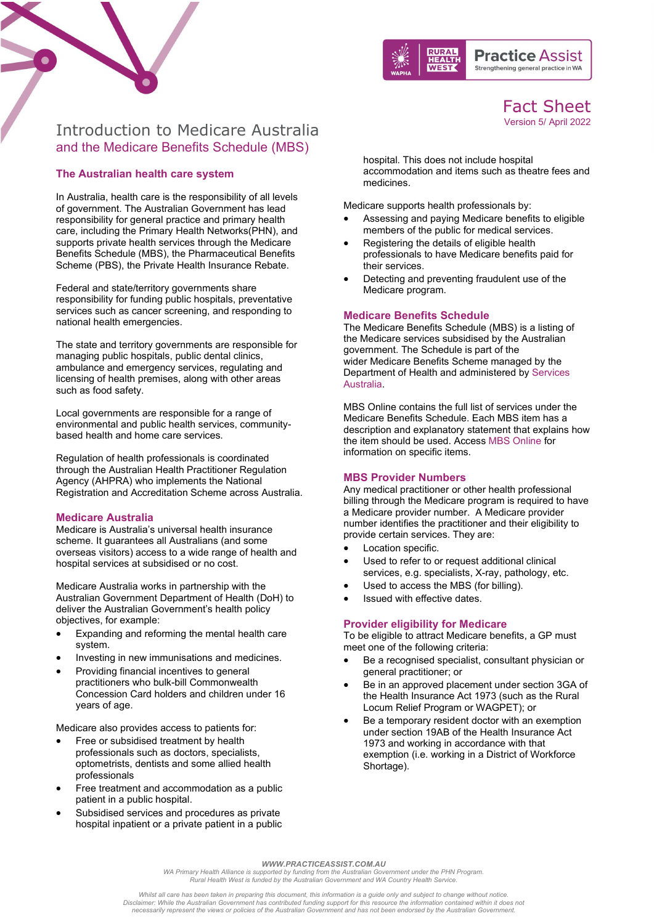



Fact Sheet Version 5/ April 2022

# Introduction to Medicare Australia and the Medicare Benefits Schedule (MBS)

# **The Australian health care system**

In Australia, health care is the responsibility of all levels of government. The Australian Government has lead responsibility for general practice and primary health care, including the Primary Health Networks(PHN), and supports private health services through the Medicare Benefits Schedule (MBS), the Pharmaceutical Benefits Scheme (PBS), the Private Health Insurance Rebate.

Federal and state/territory governments share responsibility for funding public hospitals, preventative services such as cancer screening, and responding to national health emergencies.

The state and territory governments are responsible for managing public hospitals, public dental clinics, ambulance and emergency services, regulating and licensing of health premises, along with other areas such as food safety.

Local governments are responsible for a range of environmental and public health services, communitybased health and home care services.

Regulation of health professionals is coordinated through the Australian Health Practitioner Regulation Agency (AHPRA) who implements th[e National](https://www.ahpra.gov.au/%7E/link.aspx?_id=D4E5EF420D3C4EAB8B247FDB72CA6E0A&_z=z)  [Registration and Accreditation Scheme](https://www.ahpra.gov.au/%7E/link.aspx?_id=D4E5EF420D3C4EAB8B247FDB72CA6E0A&_z=z) across Australia.

## **Medicare Australia**

Medicare is Australia's universal health insurance scheme. It guarantees all Australians (and some overseas visitors) access to a wide range of health and hospital services at subsidised or no cost.

Medicare Australia works in partnership with the Australian Government Department of Health (DoH) to deliver the Australian Government's health policy objectives, for example:

- Expanding and reforming the mental health care system.
- Investing in new immunisations and medicines.
- Providing financial incentives to general practitioners who bulk-bill Commonwealth Concession Card holders and children under 16 years of age.

Medicare also provides access to patients for:

- Free or subsidised treatment by health professionals such as doctors, specialists, optometrists, dentists and some allied health professionals
- Free treatment and accommodation as a public patient in a public hospital.
- Subsidised services and procedures as private hospital inpatient or a private patient in a public

hospital. This does not include hospital accommodation and items such as theatre fees and medicines.

Medicare supports health professionals by:

- Assessing and paying Medicare benefits to eligible members of the public for medical services.
- Registering the details of eligible health professionals to have Medicare benefits paid for their services.
- Detecting and preventing fraudulent use of the Medicare program.

## **Medicare Benefits Schedule**

The Medicare Benefits Schedule (MBS) is a listing of the Medicare services subsidised by the Australian government. The Schedule is part of the wider Medicare Benefits Scheme managed by the Department of Health and administered by [Services](https://www.servicesaustralia.gov.au/organisations/health-professionals/topics/education-guide-practice-nurse-items/33236)  [Australia.](https://www.servicesaustralia.gov.au/organisations/health-professionals/topics/education-guide-practice-nurse-items/33236)

MBS Online contains the full list of services under the Medicare Benefits Schedule. Each MBS item has a description and explanatory statement that explains how the item should be used. Access [MBS Online](http://www.mbsonline.gov.au/internet/mbsonline/publishing.nsf/Content/Home) for information on specific items.

## **MBS Provider Numbers**

Any medical practitioner or other health professional billing through the Medicare program is required to have a Medicare provider number. A Medicare provider number identifies the practitioner and their eligibility to provide certain services. They are:

- Location specific.
- Used to refer to or request additional clinical services, e.g. specialists, X-ray, pathology, etc.
- Used to access the MBS (for billing).
- Issued with effective dates.

#### **Provider eligibility for Medicare**

To be eligible to attract Medicare benefits, a GP must meet one of the following criteria:

- Be a recognised specialist, consultant physician or general practitioner; or
- Be in an approved placement under section 3GA of the Health Insurance Act 1973 (such as the Rural Locum Relief Program or WAGPET); or
- Be a temporary resident doctor with an exemption under section 19AB of the Health Insurance Act 1973 and working in accordance with that exemption (i.e. working in a District of Workforce Shortage).

*WWW.PRACTICEASSIST.COM.AU*

*WA Primary Health Alliance is supported by funding from the Australian Government under the PHN Program. Rural Health West is funded by the Australian Government and WA Country Health Service.*